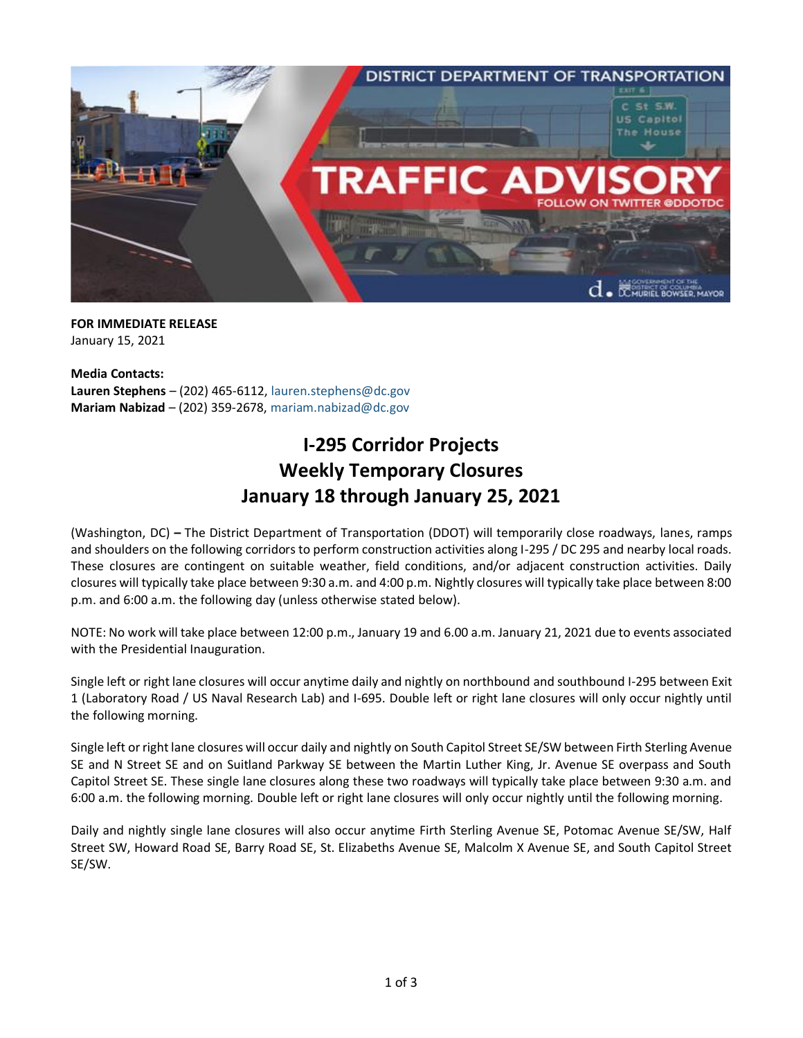

**FOR IMMEDIATE RELEASE** January 15, 2021

**Media Contacts: Lauren Stephens** – (202) 465-6112, [lauren.stephens@dc.gov](mailto:lauren.stephens@dc.gov) **Mariam Nabizad** – (202) 359-2678, [mariam.nabizad@dc.gov](mailto:mariam.nabizad@dc.gov)

# **I-295 Corridor Projects Weekly Temporary Closures January 18 through January 25, 2021**

(Washington, DC) **–** The District Department of Transportation (DDOT) will temporarily close roadways, lanes, ramps and shoulders on the following corridors to perform construction activities along I-295 / DC 295 and nearby local roads. These closures are contingent on suitable weather, field conditions, and/or adjacent construction activities. Daily closures will typically take place between 9:30 a.m. and 4:00 p.m. Nightly closures will typically take place between 8:00 p.m. and 6:00 a.m. the following day (unless otherwise stated below).

NOTE: No work will take place between 12:00 p.m., January 19 and 6.00 a.m. January 21, 2021 due to events associated with the Presidential Inauguration.

Single left or right lane closures will occur anytime daily and nightly on northbound and southbound I-295 between Exit 1 (Laboratory Road / US Naval Research Lab) and I-695. Double left or right lane closures will only occur nightly until the following morning.

Single left or right lane closures will occur daily and nightly on South Capitol Street SE/SW between Firth Sterling Avenue SE and N Street SE and on Suitland Parkway SE between the Martin Luther King, Jr. Avenue SE overpass and South Capitol Street SE. These single lane closures along these two roadways will typically take place between 9:30 a.m. and 6:00 a.m. the following morning. Double left or right lane closures will only occur nightly until the following morning.

Daily and nightly single lane closures will also occur anytime Firth Sterling Avenue SE, Potomac Avenue SE/SW, Half Street SW, Howard Road SE, Barry Road SE, St. Elizabeths Avenue SE, Malcolm X Avenue SE, and South Capitol Street SE/SW.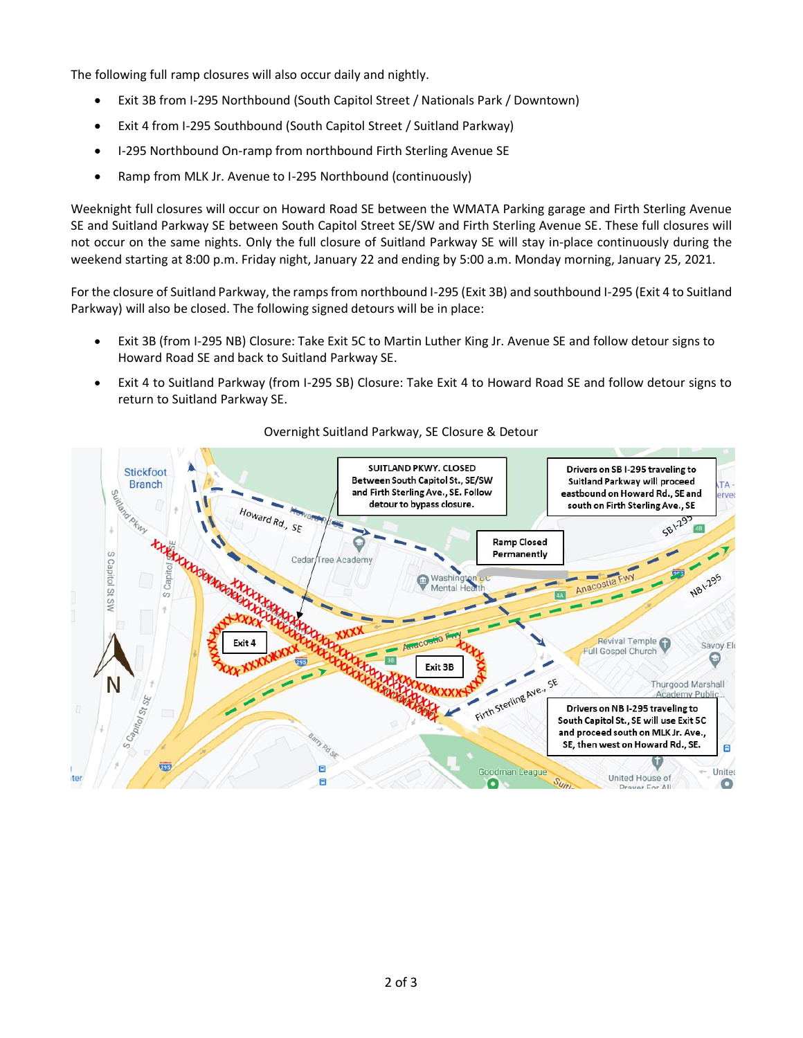The following full ramp closures will also occur daily and nightly.

- Exit 3B from I-295 Northbound (South Capitol Street / Nationals Park / Downtown)
- Exit 4 from I-295 Southbound (South Capitol Street / Suitland Parkway)
- I-295 Northbound On-ramp from northbound Firth Sterling Avenue SE
- Ramp from MLK Jr. Avenue to I-295 Northbound (continuously)

Weeknight full closures will occur on Howard Road SE between the WMATA Parking garage and Firth Sterling Avenue SE and Suitland Parkway SE between South Capitol Street SE/SW and Firth Sterling Avenue SE. These full closures will not occur on the same nights. Only the full closure of Suitland Parkway SE will stay in-place continuously during the weekend starting at 8:00 p.m. Friday night, January 22 and ending by 5:00 a.m. Monday morning, January 25, 2021.

For the closure of Suitland Parkway, the ramps from northbound I-295 (Exit 3B) and southbound I-295 (Exit 4 to Suitland Parkway) will also be closed. The following signed detours will be in place:

- Exit 3B (from I-295 NB) Closure: Take Exit 5C to Martin Luther King Jr. Avenue SE and follow detour signs to Howard Road SE and back to Suitland Parkway SE.
- Exit 4 to Suitland Parkway (from I-295 SB) Closure: Take Exit 4 to Howard Road SE and follow detour signs to return to Suitland Parkway SE.



### Overnight Suitland Parkway, SE Closure & Detour